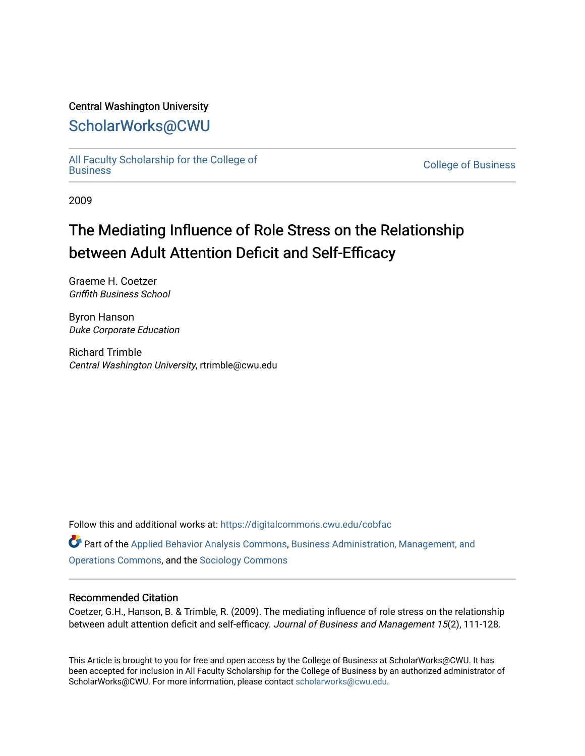#### Central Washington University

### [ScholarWorks@CWU](https://digitalcommons.cwu.edu/)

[All Faculty Scholarship for the College of](https://digitalcommons.cwu.edu/cobfac) 

**College of [Business](https://digitalcommons.cwu.edu/cobfac)** 

2009

## The Mediating Influence of Role Stress on the Relationship between Adult Attention Deficit and Self-Efficacy

Graeme H. Coetzer Griffith Business School

Byron Hanson Duke Corporate Education

Richard Trimble Central Washington University, rtrimble@cwu.edu

Follow this and additional works at: [https://digitalcommons.cwu.edu/cobfac](https://digitalcommons.cwu.edu/cobfac?utm_source=digitalcommons.cwu.edu%2Fcobfac%2F226&utm_medium=PDF&utm_campaign=PDFCoverPages) 

Part of the [Applied Behavior Analysis Commons](http://network.bepress.com/hgg/discipline/1235?utm_source=digitalcommons.cwu.edu%2Fcobfac%2F226&utm_medium=PDF&utm_campaign=PDFCoverPages), [Business Administration, Management, and](http://network.bepress.com/hgg/discipline/623?utm_source=digitalcommons.cwu.edu%2Fcobfac%2F226&utm_medium=PDF&utm_campaign=PDFCoverPages) [Operations Commons](http://network.bepress.com/hgg/discipline/623?utm_source=digitalcommons.cwu.edu%2Fcobfac%2F226&utm_medium=PDF&utm_campaign=PDFCoverPages), and the [Sociology Commons](http://network.bepress.com/hgg/discipline/416?utm_source=digitalcommons.cwu.edu%2Fcobfac%2F226&utm_medium=PDF&utm_campaign=PDFCoverPages)

#### Recommended Citation

Coetzer, G.H., Hanson, B. & Trimble, R. (2009). The mediating influence of role stress on the relationship between adult attention deficit and self-efficacy. Journal of Business and Management 15(2), 111-128.

This Article is brought to you for free and open access by the College of Business at ScholarWorks@CWU. It has been accepted for inclusion in All Faculty Scholarship for the College of Business by an authorized administrator of ScholarWorks@CWU. For more information, please contact [scholarworks@cwu.edu](mailto:scholarworks@cwu.edu).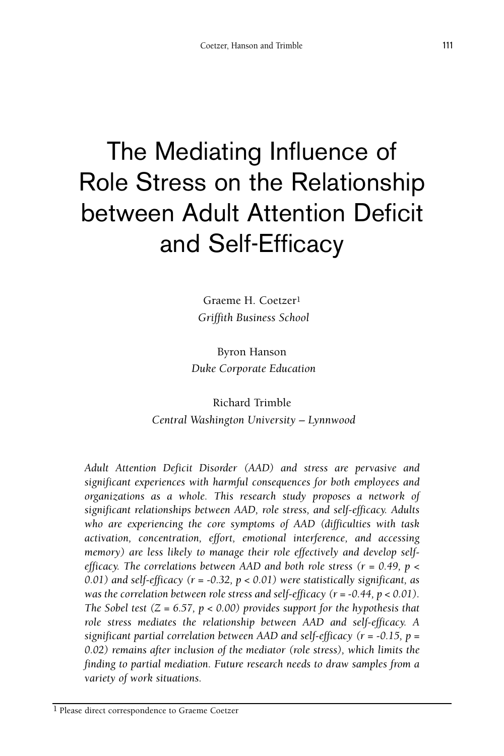# The Mediating Influence of Role Stress on the Relationship between Adult Attention Deficit and Self-Efficacy

Graeme H. Coetzer1 *Griffith Business School*

Byron Hanson *Duke Corporate Education*

Richard Trimble *Central Washington University – Lynnwood*

*Adult Attention Deficit Disorder (AAD) and stress are pervasive and significant experiences with harmful consequences for both employees and organizations as a whole. This research study proposes a network of significant relationships between AAD, role stress, and self-efficacy. Adults who are experiencing the core symptoms of AAD (difficulties with task activation, concentration, effort, emotional interference, and accessing memory) are less likely to manage their role effectively and develop selfefficacy. The correlations between AAD and both role stress (r = 0.49, p < 0.01) and self-efficacy (r = -0.32, p < 0.01) were statistically significant, as was the correlation between role stress and self-efficacy (r = -0.44, p < 0.01). The Sobel test (Z = 6.57, p < 0.00) provides support for the hypothesis that role stress mediates the relationship between AAD and self-efficacy. A significant partial correlation between AAD and self-efficacy (r = -0.15, p = 0.02) remains after inclusion of the mediator (role stress), which limits the finding to partial mediation. Future research needs to draw samples from a variety of work situations.*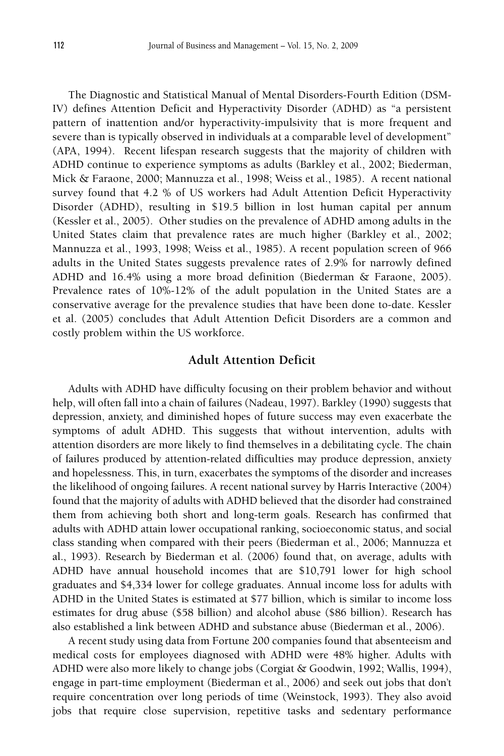The Diagnostic and Statistical Manual of Mental Disorders-Fourth Edition (DSM-IV) defines Attention Deficit and Hyperactivity Disorder (ADHD) as "a persistent pattern of inattention and/or hyperactivity-impulsivity that is more frequent and severe than is typically observed in individuals at a comparable level of development" (APA, 1994). Recent lifespan research suggests that the majority of children with ADHD continue to experience symptoms as adults (Barkley et al., 2002; Biederman, Mick & Faraone, 2000; Mannuzza et al., 1998; Weiss et al., 1985). A recent national survey found that 4.2 % of US workers had Adult Attention Deficit Hyperactivity Disorder (ADHD), resulting in \$19.5 billion in lost human capital per annum (Kessler et al., 2005). Other studies on the prevalence of ADHD among adults in the United States claim that prevalence rates are much higher (Barkley et al., 2002; Mannuzza et al., 1993, 1998; Weiss et al., 1985). A recent population screen of 966 adults in the United States suggests prevalence rates of 2.9% for narrowly defined ADHD and 16.4% using a more broad definition (Biederman & Faraone, 2005). Prevalence rates of 10%-12% of the adult population in the United States are a conservative average for the prevalence studies that have been done to-date. Kessler et al. (2005) concludes that Adult Attention Deficit Disorders are a common and costly problem within the US workforce.

#### **Adult Attention Deficit**

Adults with ADHD have difficulty focusing on their problem behavior and without help, will often fall into a chain of failures (Nadeau, 1997). Barkley (1990) suggests that depression, anxiety, and diminished hopes of future success may even exacerbate the symptoms of adult ADHD. This suggests that without intervention, adults with attention disorders are more likely to find themselves in a debilitating cycle. The chain of failures produced by attention-related difficulties may produce depression, anxiety and hopelessness. This, in turn, exacerbates the symptoms of the disorder and increases the likelihood of ongoing failures. A recent national survey by Harris Interactive (2004) found that the majority of adults with ADHD believed that the disorder had constrained them from achieving both short and long-term goals. Research has confirmed that adults with ADHD attain lower occupational ranking, socioeconomic status, and social class standing when compared with their peers (Biederman et al., 2006; Mannuzza et al., 1993). Research by Biederman et al. (2006) found that, on average, adults with ADHD have annual household incomes that are \$10,791 lower for high school graduates and \$4,334 lower for college graduates. Annual income loss for adults with ADHD in the United States is estimated at \$77 billion, which is similar to income loss estimates for drug abuse (\$58 billion) and alcohol abuse (\$86 billion). Research has also established a link between ADHD and substance abuse (Biederman et al., 2006).

A recent study using data from Fortune 200 companies found that absenteeism and medical costs for employees diagnosed with ADHD were 48% higher. Adults with ADHD were also more likely to change jobs (Corgiat & Goodwin, 1992; Wallis, 1994), engage in part-time employment (Biederman et al., 2006) and seek out jobs that don't require concentration over long periods of time (Weinstock, 1993). They also avoid jobs that require close supervision, repetitive tasks and sedentary performance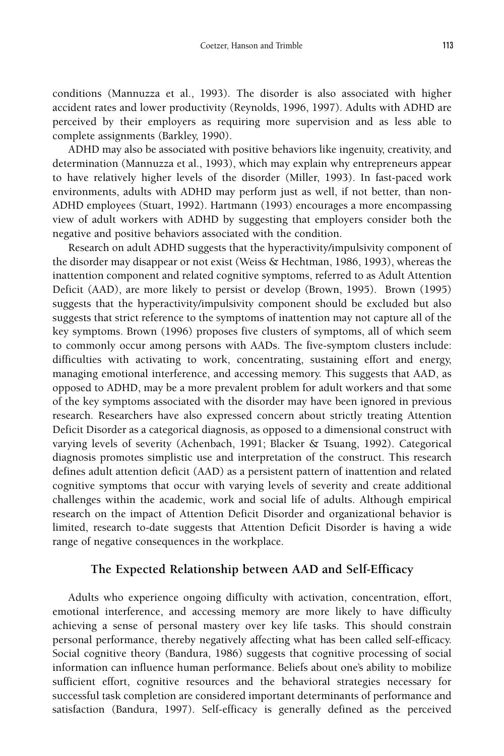conditions (Mannuzza et al., 1993). The disorder is also associated with higher accident rates and lower productivity (Reynolds, 1996, 1997). Adults with ADHD are perceived by their employers as requiring more supervision and as less able to complete assignments (Barkley, 1990).

ADHD may also be associated with positive behaviors like ingenuity, creativity, and determination (Mannuzza et al., 1993), which may explain why entrepreneurs appear to have relatively higher levels of the disorder (Miller, 1993). In fast-paced work environments, adults with ADHD may perform just as well, if not better, than non-ADHD employees (Stuart, 1992). Hartmann (1993) encourages a more encompassing view of adult workers with ADHD by suggesting that employers consider both the negative and positive behaviors associated with the condition.

Research on adult ADHD suggests that the hyperactivity/impulsivity component of the disorder may disappear or not exist (Weiss & Hechtman, 1986, 1993), whereas the inattention component and related cognitive symptoms, referred to as Adult Attention Deficit (AAD), are more likely to persist or develop (Brown, 1995). Brown (1995) suggests that the hyperactivity/impulsivity component should be excluded but also suggests that strict reference to the symptoms of inattention may not capture all of the key symptoms. Brown (1996) proposes five clusters of symptoms, all of which seem to commonly occur among persons with AADs. The five-symptom clusters include: difficulties with activating to work, concentrating, sustaining effort and energy, managing emotional interference, and accessing memory. This suggests that AAD, as opposed to ADHD, may be a more prevalent problem for adult workers and that some of the key symptoms associated with the disorder may have been ignored in previous research. Researchers have also expressed concern about strictly treating Attention Deficit Disorder as a categorical diagnosis, as opposed to a dimensional construct with varying levels of severity (Achenbach, 1991; Blacker & Tsuang, 1992). Categorical diagnosis promotes simplistic use and interpretation of the construct. This research defines adult attention deficit (AAD) as a persistent pattern of inattention and related cognitive symptoms that occur with varying levels of severity and create additional challenges within the academic, work and social life of adults. Although empirical research on the impact of Attention Deficit Disorder and organizational behavior is limited, research to-date suggests that Attention Deficit Disorder is having a wide range of negative consequences in the workplace.

#### **The Expected Relationship between AAD and Self-Efficacy**

Adults who experience ongoing difficulty with activation, concentration, effort, emotional interference, and accessing memory are more likely to have difficulty achieving a sense of personal mastery over key life tasks. This should constrain personal performance, thereby negatively affecting what has been called self-efficacy. Social cognitive theory (Bandura, 1986) suggests that cognitive processing of social information can influence human performance. Beliefs about one's ability to mobilize sufficient effort, cognitive resources and the behavioral strategies necessary for successful task completion are considered important determinants of performance and satisfaction (Bandura, 1997). Self-efficacy is generally defined as the perceived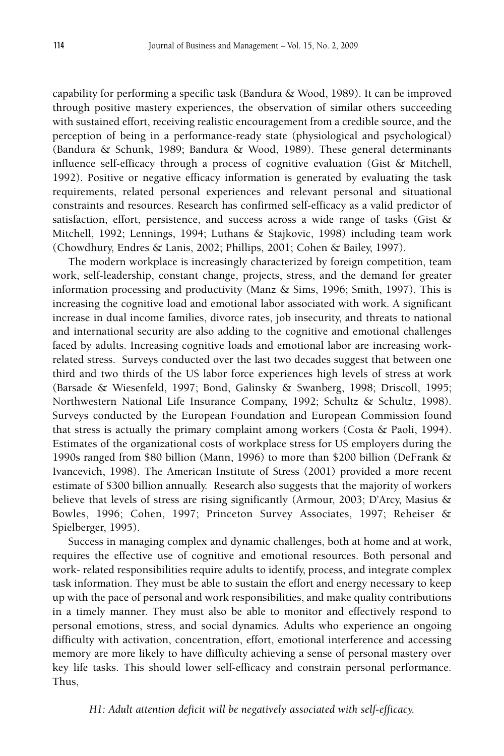capability for performing a specific task (Bandura & Wood, 1989). It can be improved through positive mastery experiences, the observation of similar others succeeding with sustained effort, receiving realistic encouragement from a credible source, and the perception of being in a performance-ready state (physiological and psychological) (Bandura & Schunk, 1989; Bandura & Wood, 1989). These general determinants influence self-efficacy through a process of cognitive evaluation (Gist & Mitchell, 1992). Positive or negative efficacy information is generated by evaluating the task requirements, related personal experiences and relevant personal and situational constraints and resources. Research has confirmed self-efficacy as a valid predictor of satisfaction, effort, persistence, and success across a wide range of tasks (Gist & Mitchell, 1992; Lennings, 1994; Luthans & Stajkovic, 1998) including team work (Chowdhury, Endres & Lanis, 2002; Phillips, 2001; Cohen & Bailey, 1997).

The modern workplace is increasingly characterized by foreign competition, team work, self-leadership, constant change, projects, stress, and the demand for greater information processing and productivity (Manz & Sims, 1996; Smith, 1997). This is increasing the cognitive load and emotional labor associated with work. A significant increase in dual income families, divorce rates, job insecurity, and threats to national and international security are also adding to the cognitive and emotional challenges faced by adults. Increasing cognitive loads and emotional labor are increasing workrelated stress. Surveys conducted over the last two decades suggest that between one third and two thirds of the US labor force experiences high levels of stress at work (Barsade & Wiesenfeld, 1997; Bond, Galinsky & Swanberg, 1998; Driscoll, 1995; Northwestern National Life Insurance Company, 1992; Schultz & Schultz, 1998). Surveys conducted by the European Foundation and European Commission found that stress is actually the primary complaint among workers (Costa  $\&$  Paoli, 1994). Estimates of the organizational costs of workplace stress for US employers during the 1990s ranged from \$80 billion (Mann, 1996) to more than \$200 billion (DeFrank & Ivancevich, 1998). The American Institute of Stress (2001) provided a more recent estimate of \$300 billion annually. Research also suggests that the majority of workers believe that levels of stress are rising significantly (Armour, 2003; D'Arcy, Masius & Bowles, 1996; Cohen, 1997; Princeton Survey Associates, 1997; Reheiser & Spielberger, 1995).

Success in managing complex and dynamic challenges, both at home and at work, requires the effective use of cognitive and emotional resources. Both personal and work- related responsibilities require adults to identify, process, and integrate complex task information. They must be able to sustain the effort and energy necessary to keep up with the pace of personal and work responsibilities, and make quality contributions in a timely manner. They must also be able to monitor and effectively respond to personal emotions, stress, and social dynamics. Adults who experience an ongoing difficulty with activation, concentration, effort, emotional interference and accessing memory are more likely to have difficulty achieving a sense of personal mastery over key life tasks. This should lower self-efficacy and constrain personal performance. Thus,

*H1: Adult attention deficit will be negatively associated with self-efficacy.*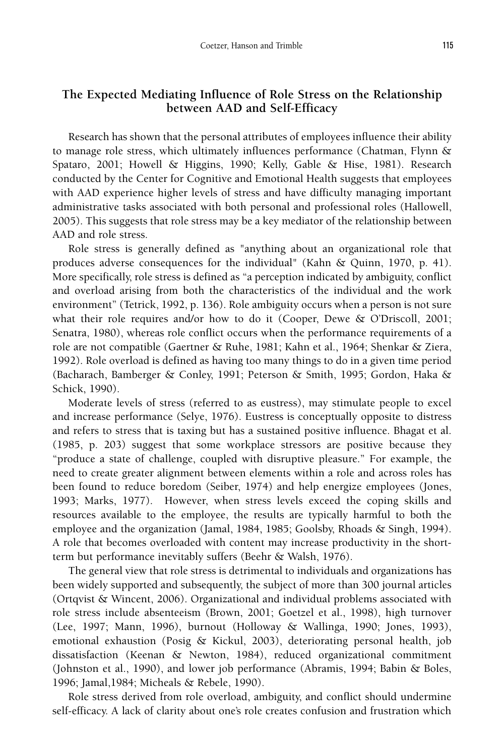#### **The Expected Mediating Influence of Role Stress on the Relationship between AAD and Self-Efficacy**

Research has shown that the personal attributes of employees influence their ability to manage role stress, which ultimately influences performance (Chatman, Flynn & Spataro, 2001; Howell & Higgins, 1990; Kelly, Gable & Hise, 1981). Research conducted by the Center for Cognitive and Emotional Health suggests that employees with AAD experience higher levels of stress and have difficulty managing important administrative tasks associated with both personal and professional roles (Hallowell, 2005). This suggests that role stress may be a key mediator of the relationship between AAD and role stress.

Role stress is generally defined as "anything about an organizational role that produces adverse consequences for the individual" (Kahn & Quinn, 1970, p. 41). More specifically, role stress is defined as "a perception indicated by ambiguity, conflict and overload arising from both the characteristics of the individual and the work environment" (Tetrick, 1992, p. 136). Role ambiguity occurs when a person is not sure what their role requires and/or how to do it (Cooper, Dewe & O'Driscoll, 2001; Senatra, 1980), whereas role conflict occurs when the performance requirements of a role are not compatible (Gaertner & Ruhe, 1981; Kahn et al., 1964; Shenkar & Ziera, 1992). Role overload is defined as having too many things to do in a given time period (Bacharach, Bamberger & Conley, 1991; Peterson & Smith, 1995; Gordon, Haka & Schick, 1990).

Moderate levels of stress (referred to as eustress), may stimulate people to excel and increase performance (Selye, 1976). Eustress is conceptually opposite to distress and refers to stress that is taxing but has a sustained positive influence. Bhagat et al. (1985, p. 203) suggest that some workplace stressors are positive because they "produce a state of challenge, coupled with disruptive pleasure." For example, the need to create greater alignment between elements within a role and across roles has been found to reduce boredom (Seiber, 1974) and help energize employees (Jones, 1993; Marks, 1977). However, when stress levels exceed the coping skills and resources available to the employee, the results are typically harmful to both the employee and the organization (Jamal, 1984, 1985; Goolsby, Rhoads & Singh, 1994). A role that becomes overloaded with content may increase productivity in the shortterm but performance inevitably suffers (Beehr & Walsh, 1976).

The general view that role stress is detrimental to individuals and organizations has been widely supported and subsequently, the subject of more than 300 journal articles (Ortqvist & Wincent, 2006). Organizational and individual problems associated with role stress include absenteeism (Brown, 2001; Goetzel et al., 1998), high turnover (Lee, 1997; Mann, 1996), burnout (Holloway & Wallinga, 1990; Jones, 1993), emotional exhaustion (Posig & Kickul, 2003), deteriorating personal health, job dissatisfaction (Keenan & Newton, 1984), reduced organizational commitment (Johnston et al., 1990), and lower job performance (Abramis, 1994; Babin & Boles, 1996; Jamal,1984; Micheals & Rebele, 1990).

Role stress derived from role overload, ambiguity, and conflict should undermine self-efficacy. A lack of clarity about one's role creates confusion and frustration which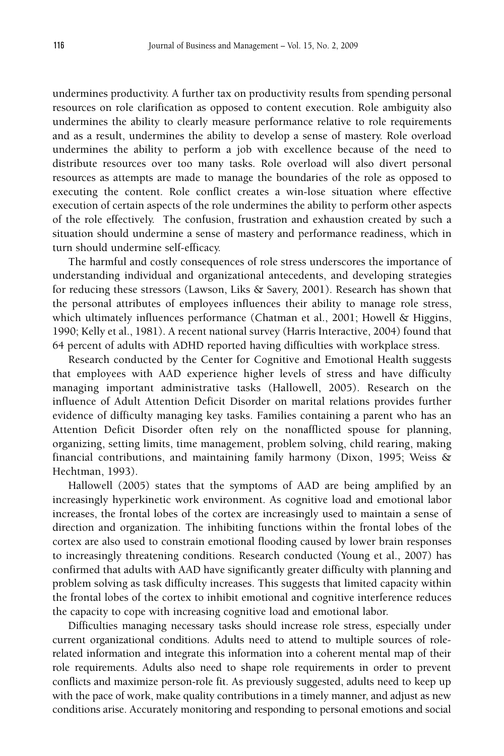undermines productivity. A further tax on productivity results from spending personal resources on role clarification as opposed to content execution. Role ambiguity also undermines the ability to clearly measure performance relative to role requirements and as a result, undermines the ability to develop a sense of mastery. Role overload undermines the ability to perform a job with excellence because of the need to distribute resources over too many tasks. Role overload will also divert personal resources as attempts are made to manage the boundaries of the role as opposed to executing the content. Role conflict creates a win-lose situation where effective execution of certain aspects of the role undermines the ability to perform other aspects of the role effectively. The confusion, frustration and exhaustion created by such a situation should undermine a sense of mastery and performance readiness, which in turn should undermine self-efficacy.

The harmful and costly consequences of role stress underscores the importance of understanding individual and organizational antecedents, and developing strategies for reducing these stressors (Lawson, Liks & Savery, 2001). Research has shown that the personal attributes of employees influences their ability to manage role stress, which ultimately influences performance (Chatman et al., 2001; Howell & Higgins, 1990; Kelly et al., 1981). A recent national survey (Harris Interactive, 2004) found that 64 percent of adults with ADHD reported having difficulties with workplace stress.

Research conducted by the Center for Cognitive and Emotional Health suggests that employees with AAD experience higher levels of stress and have difficulty managing important administrative tasks (Hallowell, 2005). Research on the influence of Adult Attention Deficit Disorder on marital relations provides further evidence of difficulty managing key tasks. Families containing a parent who has an Attention Deficit Disorder often rely on the nonafflicted spouse for planning, organizing, setting limits, time management, problem solving, child rearing, making financial contributions, and maintaining family harmony (Dixon, 1995; Weiss & Hechtman, 1993).

Hallowell (2005) states that the symptoms of AAD are being amplified by an increasingly hyperkinetic work environment. As cognitive load and emotional labor increases, the frontal lobes of the cortex are increasingly used to maintain a sense of direction and organization. The inhibiting functions within the frontal lobes of the cortex are also used to constrain emotional flooding caused by lower brain responses to increasingly threatening conditions. Research conducted (Young et al., 2007) has confirmed that adults with AAD have significantly greater difficulty with planning and problem solving as task difficulty increases. This suggests that limited capacity within the frontal lobes of the cortex to inhibit emotional and cognitive interference reduces the capacity to cope with increasing cognitive load and emotional labor.

Difficulties managing necessary tasks should increase role stress, especially under current organizational conditions. Adults need to attend to multiple sources of rolerelated information and integrate this information into a coherent mental map of their role requirements. Adults also need to shape role requirements in order to prevent conflicts and maximize person-role fit. As previously suggested, adults need to keep up with the pace of work, make quality contributions in a timely manner, and adjust as new conditions arise. Accurately monitoring and responding to personal emotions and social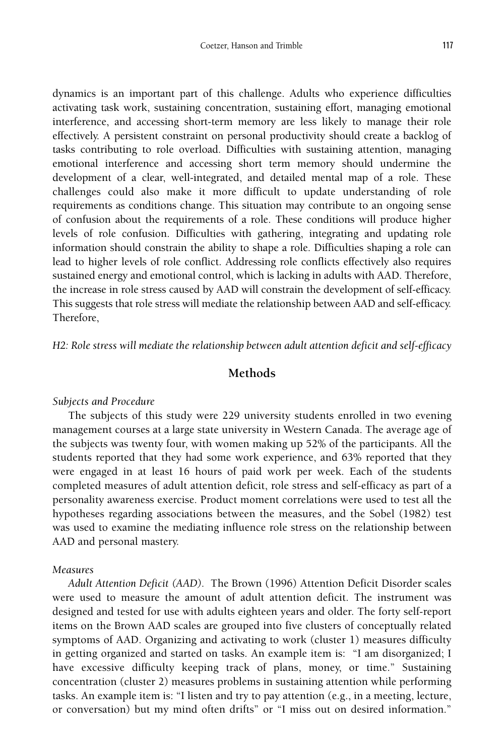dynamics is an important part of this challenge. Adults who experience difficulties activating task work, sustaining concentration, sustaining effort, managing emotional interference, and accessing short-term memory are less likely to manage their role effectively. A persistent constraint on personal productivity should create a backlog of tasks contributing to role overload. Difficulties with sustaining attention, managing emotional interference and accessing short term memory should undermine the development of a clear, well-integrated, and detailed mental map of a role. These challenges could also make it more difficult to update understanding of role requirements as conditions change. This situation may contribute to an ongoing sense of confusion about the requirements of a role. These conditions will produce higher levels of role confusion. Difficulties with gathering, integrating and updating role information should constrain the ability to shape a role. Difficulties shaping a role can lead to higher levels of role conflict. Addressing role conflicts effectively also requires sustained energy and emotional control, which is lacking in adults with AAD. Therefore, the increase in role stress caused by AAD will constrain the development of self-efficacy. This suggests that role stress will mediate the relationship between AAD and self-efficacy. Therefore,

*H2: Role stress will mediate the relationship between adult attention deficit and self-efficacy*

#### **Methods**

#### *Subjects and Procedure*

The subjects of this study were 229 university students enrolled in two evening management courses at a large state university in Western Canada. The average age of the subjects was twenty four, with women making up 52% of the participants. All the students reported that they had some work experience, and 63% reported that they were engaged in at least 16 hours of paid work per week. Each of the students completed measures of adult attention deficit, role stress and self-efficacy as part of a personality awareness exercise. Product moment correlations were used to test all the hypotheses regarding associations between the measures, and the Sobel (1982) test was used to examine the mediating influence role stress on the relationship between AAD and personal mastery.

#### *Measures*

*Adult Attention Deficit (AAD).* The Brown (1996) Attention Deficit Disorder scales were used to measure the amount of adult attention deficit. The instrument was designed and tested for use with adults eighteen years and older. The forty self-report items on the Brown AAD scales are grouped into five clusters of conceptually related symptoms of AAD. Organizing and activating to work (cluster 1) measures difficulty in getting organized and started on tasks. An example item is: "I am disorganized; I have excessive difficulty keeping track of plans, money, or time." Sustaining concentration (cluster 2) measures problems in sustaining attention while performing tasks. An example item is: "I listen and try to pay attention (e.g., in a meeting, lecture, or conversation) but my mind often drifts" or "I miss out on desired information."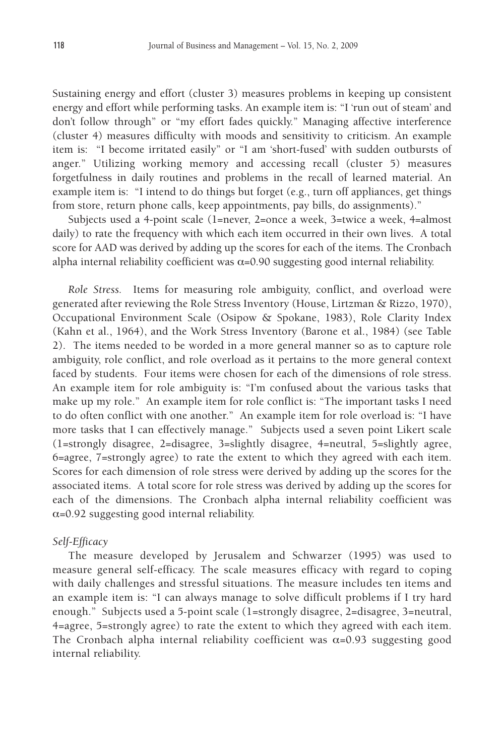Sustaining energy and effort (cluster 3) measures problems in keeping up consistent energy and effort while performing tasks. An example item is: "I 'run out of steam' and don't follow through" or "my effort fades quickly." Managing affective interference (cluster 4) measures difficulty with moods and sensitivity to criticism. An example item is: "I become irritated easily" or "I am 'short-fused' with sudden outbursts of anger." Utilizing working memory and accessing recall (cluster 5) measures forgetfulness in daily routines and problems in the recall of learned material. An example item is: "I intend to do things but forget (e.g., turn off appliances, get things from store, return phone calls, keep appointments, pay bills, do assignments)."

Subjects used a 4-point scale (1=never, 2=once a week, 3=twice a week, 4=almost daily) to rate the frequency with which each item occurred in their own lives. A total score for AAD was derived by adding up the scores for each of the items. The Cronbach alpha internal reliability coefficient was  $\alpha$ =0.90 suggesting good internal reliability.

*Role Stress.* Items for measuring role ambiguity, conflict, and overload were generated after reviewing the Role Stress Inventory (House, Lirtzman & Rizzo, 1970), Occupational Environment Scale (Osipow & Spokane, 1983), Role Clarity Index (Kahn et al., 1964), and the Work Stress Inventory (Barone et al., 1984) (see Table 2). The items needed to be worded in a more general manner so as to capture role ambiguity, role conflict, and role overload as it pertains to the more general context faced by students. Four items were chosen for each of the dimensions of role stress. An example item for role ambiguity is: "I'm confused about the various tasks that make up my role." An example item for role conflict is: "The important tasks I need to do often conflict with one another." An example item for role overload is: "I have more tasks that I can effectively manage." Subjects used a seven point Likert scale (1=strongly disagree, 2=disagree, 3=slightly disagree, 4=neutral, 5=slightly agree, 6=agree, 7=strongly agree) to rate the extent to which they agreed with each item. Scores for each dimension of role stress were derived by adding up the scores for the associated items. A total score for role stress was derived by adding up the scores for each of the dimensions. The Cronbach alpha internal reliability coefficient was  $\alpha$ =0.92 suggesting good internal reliability.

#### *Self-Efficacy*

The measure developed by Jerusalem and Schwarzer (1995) was used to measure general self-efficacy. The scale measures efficacy with regard to coping with daily challenges and stressful situations. The measure includes ten items and an example item is: "I can always manage to solve difficult problems if I try hard enough." Subjects used a 5-point scale (1=strongly disagree, 2=disagree, 3=neutral, 4=agree, 5=strongly agree) to rate the extent to which they agreed with each item. The Cronbach alpha internal reliability coefficient was  $\alpha$ =0.93 suggesting good internal reliability.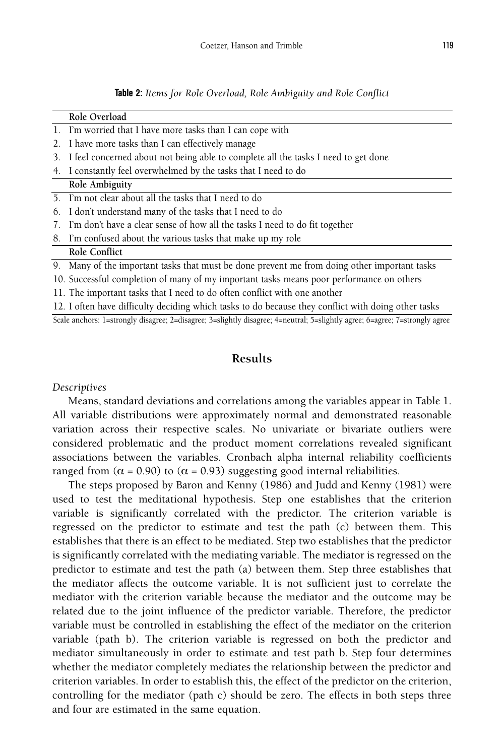|  |  |  | Table 2: Items for Role Overload, Role Ambiguity and Role Conflict |  |  |
|--|--|--|--------------------------------------------------------------------|--|--|
|--|--|--|--------------------------------------------------------------------|--|--|

|                                                                                                     | Role Overload                                                                                                               |  |  |  |  |  |
|-----------------------------------------------------------------------------------------------------|-----------------------------------------------------------------------------------------------------------------------------|--|--|--|--|--|
|                                                                                                     | 1. I'm worried that I have more tasks than I can cope with                                                                  |  |  |  |  |  |
| 2.                                                                                                  | I have more tasks than I can effectively manage                                                                             |  |  |  |  |  |
|                                                                                                     | 3. I feel concerned about not being able to complete all the tasks I need to get done                                       |  |  |  |  |  |
| 4.                                                                                                  | I constantly feel overwhelmed by the tasks that I need to do                                                                |  |  |  |  |  |
|                                                                                                     | Role Ambiguity                                                                                                              |  |  |  |  |  |
|                                                                                                     | 5. I'm not clear about all the tasks that I need to do                                                                      |  |  |  |  |  |
| 6.                                                                                                  | I don't understand many of the tasks that I need to do                                                                      |  |  |  |  |  |
| 7.                                                                                                  | I'm don't have a clear sense of how all the tasks I need to do fit together                                                 |  |  |  |  |  |
|                                                                                                     | 8. I'm confused about the various tasks that make up my role                                                                |  |  |  |  |  |
|                                                                                                     | Role Conflict                                                                                                               |  |  |  |  |  |
|                                                                                                     | 9. Many of the important tasks that must be done prevent me from doing other important tasks                                |  |  |  |  |  |
| 10. Successful completion of many of my important tasks means poor performance on others            |                                                                                                                             |  |  |  |  |  |
| 11. The important tasks that I need to do often conflict with one another                           |                                                                                                                             |  |  |  |  |  |
| 12. I often have difficulty deciding which tasks to do because they conflict with doing other tasks |                                                                                                                             |  |  |  |  |  |
|                                                                                                     | Scale anchors: 1=strongly disagree; 2=disagree; 3=slightly disagree; 4=neutral; 5=slightly agree; 6=agree; 7=strongly agree |  |  |  |  |  |

#### **Results**

#### *Descriptives*

Means, standard deviations and correlations among the variables appear in Table 1. All variable distributions were approximately normal and demonstrated reasonable variation across their respective scales. No univariate or bivariate outliers were considered problematic and the product moment correlations revealed significant associations between the variables. Cronbach alpha internal reliability coefficients ranged from ( $\alpha$  = 0.90) to ( $\alpha$  = 0.93) suggesting good internal reliabilities.

The steps proposed by Baron and Kenny (1986) and Judd and Kenny (1981) were used to test the meditational hypothesis. Step one establishes that the criterion variable is significantly correlated with the predictor. The criterion variable is regressed on the predictor to estimate and test the path (c) between them. This establishes that there is an effect to be mediated. Step two establishes that the predictor is significantly correlated with the mediating variable. The mediator is regressed on the predictor to estimate and test the path (a) between them. Step three establishes that the mediator affects the outcome variable. It is not sufficient just to correlate the mediator with the criterion variable because the mediator and the outcome may be related due to the joint influence of the predictor variable. Therefore, the predictor variable must be controlled in establishing the effect of the mediator on the criterion variable (path b). The criterion variable is regressed on both the predictor and mediator simultaneously in order to estimate and test path b. Step four determines whether the mediator completely mediates the relationship between the predictor and criterion variables. In order to establish this, the effect of the predictor on the criterion, controlling for the mediator (path c) should be zero. The effects in both steps three and four are estimated in the same equation.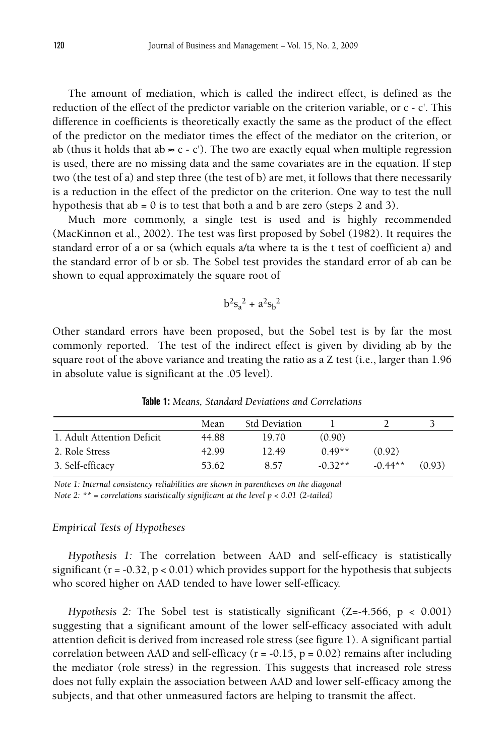The amount of mediation, which is called the indirect effect, is defined as the reduction of the effect of the predictor variable on the criterion variable, or c - c'. This difference in coefficients is theoretically exactly the same as the product of the effect of the predictor on the mediator times the effect of the mediator on the criterion, or ab (thus it holds that ab  $\approx$  c - c'). The two are exactly equal when multiple regression is used, there are no missing data and the same covariates are in the equation. If step two (the test of a) and step three (the test of b) are met, it follows that there necessarily is a reduction in the effect of the predictor on the criterion. One way to test the null hypothesis that  $ab = 0$  is to test that both a and b are zero (steps 2 and 3).

Much more commonly, a single test is used and is highly recommended (MacKinnon et al., 2002). The test was first proposed by Sobel (1982). It requires the standard error of a or sa (which equals a/ta where ta is the t test of coefficient a) and the standard error of b or sb. The Sobel test provides the standard error of ab can be shown to equal approximately the square root of

$$
b^2 s_a^2 + a^2 s_b^2
$$

Other standard errors have been proposed, but the Sobel test is by far the most commonly reported. The test of the indirect effect is given by dividing ab by the square root of the above variance and treating the ratio as a Z test (i.e., larger than 1.96 in absolute value is significant at the .05 level).

| Mean  | <b>Std Deviation</b> |           |           |        |
|-------|----------------------|-----------|-----------|--------|
| 44.88 | 19.70                | (0.90)    |           |        |
| 42.99 | 12.49                | $0.49**$  | (0.92)    |        |
| 53.62 | 8.57                 | $-0.32**$ | $-0.44**$ | (0.93) |
|       |                      |           |           |        |

**Table 1:** *Means, Standard Deviations and Correlations*

*Note 1: Internal consistency reliabilities are shown in parentheses on the diagonal Note 2: \*\* = correlations statistically significant at the level p < 0.01 (2-tailed)*

#### *Empirical Tests of Hypotheses*

*Hypothesis 1:* The correlation between AAD and self-efficacy is statistically significant ( $r = -0.32$ ,  $p < 0.01$ ) which provides support for the hypothesis that subjects who scored higher on AAD tended to have lower self-efficacy.

*Hypothesis 2:* The Sobel test is statistically significant (Z=-4.566, p < 0.001) suggesting that a significant amount of the lower self-efficacy associated with adult attention deficit is derived from increased role stress (see figure 1). A significant partial correlation between AAD and self-efficacy ( $r = -0.15$ ,  $p = 0.02$ ) remains after including the mediator (role stress) in the regression. This suggests that increased role stress does not fully explain the association between AAD and lower self-efficacy among the subjects, and that other unmeasured factors are helping to transmit the affect.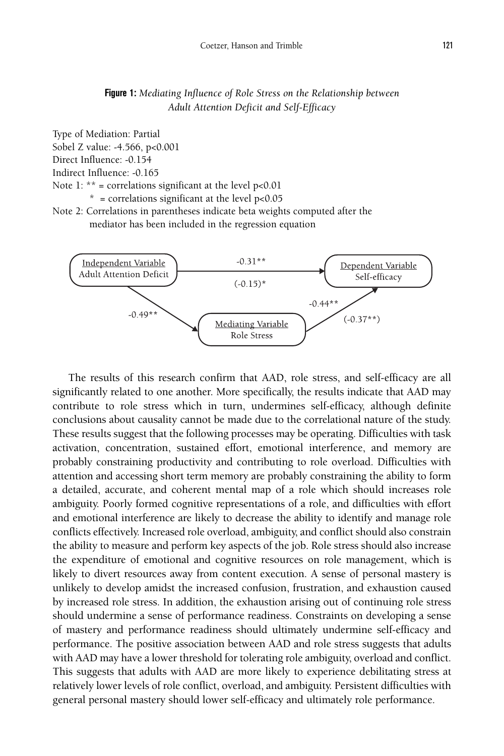#### **Figure 1:** *Mediating Influence of Role Stress on the Relationship between Adult Attention Deficit and Self-Efficacy*

Type of Mediation: Partial Sobel Z value: -4.566, p<0.001 Direct Influence: -0.154 Indirect Influence: -0.165 Note 1: \*\* = correlations significant at the level  $p<0.01$  $*$  = correlations significant at the level  $p<0.05$ 

Note 2: Correlations in parentheses indicate beta weights computed after the mediator has been included in the regression equation



The results of this research confirm that AAD, role stress, and self-efficacy are all significantly related to one another. More specifically, the results indicate that AAD may contribute to role stress which in turn, undermines self-efficacy, although definite conclusions about causality cannot be made due to the correlational nature of the study. These results suggest that the following processes may be operating. Difficulties with task activation, concentration, sustained effort, emotional interference, and memory are probably constraining productivity and contributing to role overload. Difficulties with attention and accessing short term memory are probably constraining the ability to form a detailed, accurate, and coherent mental map of a role which should increases role ambiguity. Poorly formed cognitive representations of a role, and difficulties with effort and emotional interference are likely to decrease the ability to identify and manage role conflicts effectively. Increased role overload, ambiguity, and conflict should also constrain the ability to measure and perform key aspects of the job. Role stress should also increase the expenditure of emotional and cognitive resources on role management, which is likely to divert resources away from content execution. A sense of personal mastery is unlikely to develop amidst the increased confusion, frustration, and exhaustion caused by increased role stress. In addition, the exhaustion arising out of continuing role stress should undermine a sense of performance readiness. Constraints on developing a sense of mastery and performance readiness should ultimately undermine self-efficacy and performance. The positive association between AAD and role stress suggests that adults with AAD may have a lower threshold for tolerating role ambiguity, overload and conflict. This suggests that adults with AAD are more likely to experience debilitating stress at relatively lower levels of role conflict, overload, and ambiguity. Persistent difficulties with general personal mastery should lower self-efficacy and ultimately role performance.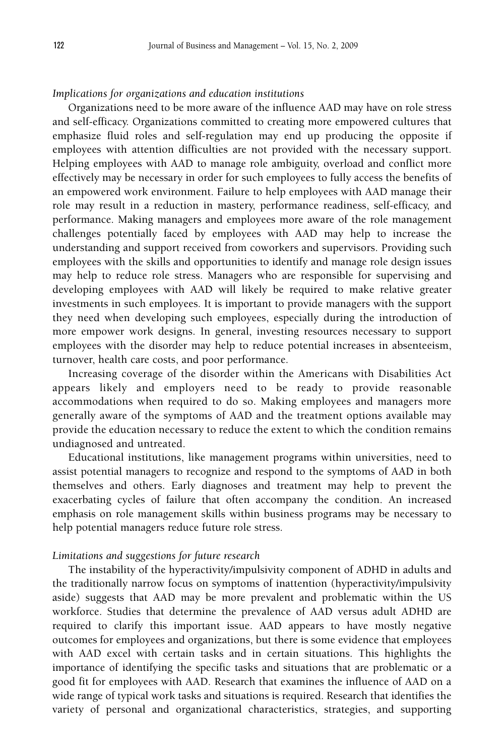#### *Implications for organizations and education institutions*

Organizations need to be more aware of the influence AAD may have on role stress and self-efficacy. Organizations committed to creating more empowered cultures that emphasize fluid roles and self-regulation may end up producing the opposite if employees with attention difficulties are not provided with the necessary support. Helping employees with AAD to manage role ambiguity, overload and conflict more effectively may be necessary in order for such employees to fully access the benefits of an empowered work environment. Failure to help employees with AAD manage their role may result in a reduction in mastery, performance readiness, self-efficacy, and performance. Making managers and employees more aware of the role management challenges potentially faced by employees with AAD may help to increase the understanding and support received from coworkers and supervisors. Providing such employees with the skills and opportunities to identify and manage role design issues may help to reduce role stress. Managers who are responsible for supervising and developing employees with AAD will likely be required to make relative greater investments in such employees. It is important to provide managers with the support they need when developing such employees, especially during the introduction of more empower work designs. In general, investing resources necessary to support employees with the disorder may help to reduce potential increases in absenteeism, turnover, health care costs, and poor performance.

Increasing coverage of the disorder within the Americans with Disabilities Act appears likely and employers need to be ready to provide reasonable accommodations when required to do so. Making employees and managers more generally aware of the symptoms of AAD and the treatment options available may provide the education necessary to reduce the extent to which the condition remains undiagnosed and untreated.

Educational institutions, like management programs within universities, need to assist potential managers to recognize and respond to the symptoms of AAD in both themselves and others. Early diagnoses and treatment may help to prevent the exacerbating cycles of failure that often accompany the condition. An increased emphasis on role management skills within business programs may be necessary to help potential managers reduce future role stress.

#### *Limitations and suggestions for future research*

The instability of the hyperactivity/impulsivity component of ADHD in adults and the traditionally narrow focus on symptoms of inattention (hyperactivity/impulsivity aside) suggests that AAD may be more prevalent and problematic within the US workforce. Studies that determine the prevalence of AAD versus adult ADHD are required to clarify this important issue. AAD appears to have mostly negative outcomes for employees and organizations, but there is some evidence that employees with AAD excel with certain tasks and in certain situations. This highlights the importance of identifying the specific tasks and situations that are problematic or a good fit for employees with AAD. Research that examines the influence of AAD on a wide range of typical work tasks and situations is required. Research that identifies the variety of personal and organizational characteristics, strategies, and supporting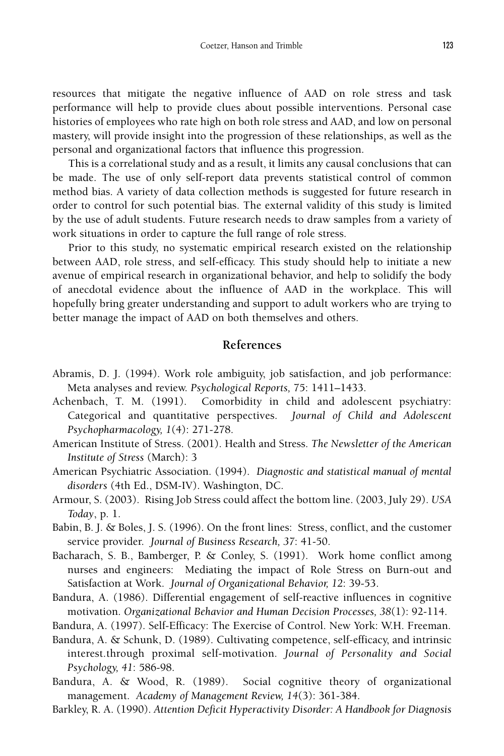resources that mitigate the negative influence of AAD on role stress and task performance will help to provide clues about possible interventions. Personal case histories of employees who rate high on both role stress and AAD, and low on personal mastery, will provide insight into the progression of these relationships, as well as the personal and organizational factors that influence this progression.

This is a correlational study and as a result, it limits any causal conclusions that can be made. The use of only self-report data prevents statistical control of common method bias. A variety of data collection methods is suggested for future research in order to control for such potential bias. The external validity of this study is limited by the use of adult students. Future research needs to draw samples from a variety of work situations in order to capture the full range of role stress.

Prior to this study, no systematic empirical research existed on the relationship between AAD, role stress, and self-efficacy. This study should help to initiate a new avenue of empirical research in organizational behavior, and help to solidify the body of anecdotal evidence about the influence of AAD in the workplace. This will hopefully bring greater understanding and support to adult workers who are trying to better manage the impact of AAD on both themselves and others.

#### **References**

- Abramis, D. J. (1994). Work role ambiguity, job satisfaction, and job performance: Meta analyses and review. *Psychological Reports,* 75: 1411–1433.
- Achenbach, T. M. (1991). Comorbidity in child and adolescent psychiatry: Categorical and quantitative perspectives. *Journal of Child and Adolescent Psychopharmacology, 1*(4): 271-278.
- American Institute of Stress. (2001). Health and Stress. *The Newsletter of the American Institute of Stress* (March): 3
- American Psychiatric Association. (1994). *Diagnostic and statistical manual of mental disorders* (4th Ed., DSM-IV). Washington, DC.
- Armour, S. (2003). Rising Job Stress could affect the bottom line. (2003, July 29). *USA Today*, p. 1.
- Babin, B. J. & Boles, J. S. (1996). On the front lines: Stress, conflict, and the customer service provider. *Journal of Business Research, 37*: 41-50.
- Bacharach, S. B., Bamberger, P. & Conley, S. (1991). Work home conflict among nurses and engineers: Mediating the impact of Role Stress on Burn-out and Satisfaction at Work. *Journal of Organizational Behavior, 12*: 39-53.
- Bandura, A. (1986). Differential engagement of self-reactive influences in cognitive motivation. *Organizational Behavior and Human Decision Processes, 38*(1): 92-114.
- Bandura, A. (1997). Self-Efficacy: The Exercise of Control. New York: W.H. Freeman.
- Bandura, A. & Schunk, D. (1989). Cultivating competence, self-efficacy, and intrinsic interest.through proximal self-motivation. *Journal of Personality and Social Psychology, 41*: 586-98.
- Bandura, A. & Wood, R. (1989). Social cognitive theory of organizational management. *Academy of Management Review, 14*(3): 361-384.
- Barkley, R. A. (1990). *Attention Deficit Hyperactivity Disorder: A Handbook for Diagnosis*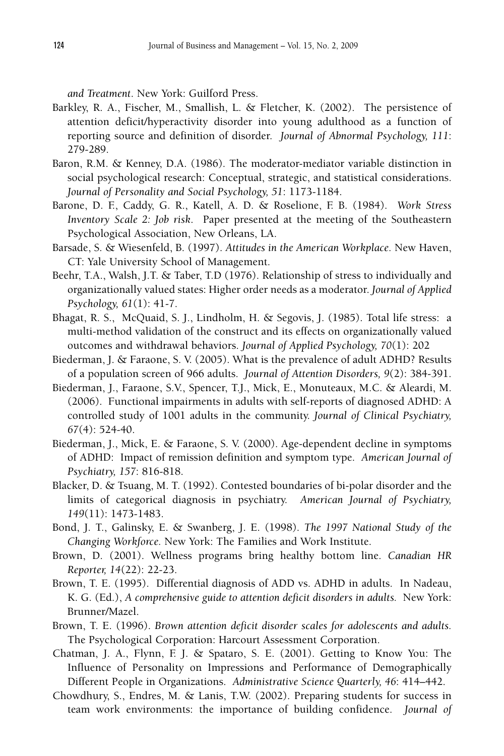*and Treatment*. New York: Guilford Press.

- Barkley, R. A., Fischer, M., Smallish, L. & Fletcher, K. (2002). The persistence of attention deficit/hyperactivity disorder into young adulthood as a function of reporting source and definition of disorder. *Journal of Abnormal Psychology, 111*: 279-289.
- Baron, R.M. & Kenney, D.A. (1986). The moderator-mediator variable distinction in social psychological research: Conceptual, strategic, and statistical considerations. *Journal of Personality and Social Psychology, 51*: 1173-1184.
- Barone, D. F., Caddy, G. R., Katell, A. D. & Roselione, F. B. (1984). *Work Stress Inventory Scale 2: Job risk*. Paper presented at the meeting of the Southeastern Psychological Association, New Orleans, LA.
- Barsade, S. & Wiesenfeld, B. (1997). *Attitudes in the American Workplace.* New Haven, CT: Yale University School of Management.
- Beehr, T.A., Walsh, J.T. & Taber, T.D (1976). Relationship of stress to individually and organizationally valued states: Higher order needs as a moderator. *Journal of Applied Psychology, 61*(1): 41-7.
- Bhagat, R. S., McQuaid, S. J., Lindholm, H. & Segovis, J. (1985). Total life stress: a multi-method validation of the construct and its effects on organizationally valued outcomes and withdrawal behaviors. *Journal of Applied Psychology, 70*(1): 202
- Biederman, J. & Faraone, S. V. (2005). What is the prevalence of adult ADHD? Results of a population screen of 966 adults. *Journal of Attention Disorders, 9*(2): 384-391.
- Biederman, J., Faraone, S.V., Spencer, T.J., Mick, E., Monuteaux, M.C. & Aleardi, M. (2006). Functional impairments in adults with self-reports of diagnosed ADHD: A controlled study of 1001 adults in the community. *Journal of Clinical Psychiatry, 67*(4): 524-40.
- Biederman, J., Mick, E. & Faraone, S. V. (2000). Age-dependent decline in symptoms of ADHD: Impact of remission definition and symptom type. *American Journal of Psychiatry, 157*: 816-818.
- Blacker, D. & Tsuang, M. T. (1992). Contested boundaries of bi-polar disorder and the limits of categorical diagnosis in psychiatry. *American Journal of Psychiatry, 149*(11): 1473-1483.
- Bond, J. T., Galinsky, E. & Swanberg, J. E. (1998). *The 1997 National Study of the Changing Workforce.* New York: The Families and Work Institute.
- Brown, D. (2001). Wellness programs bring healthy bottom line. *Canadian HR Reporter, 14*(22): 22-23.
- Brown, T. E. (1995). Differential diagnosis of ADD vs. ADHD in adults. In Nadeau, K. G. (Ed.), *A comprehensive guide to attention deficit disorders in adults.* New York: Brunner/Mazel.
- Brown, T. E. (1996). *Brown attention deficit disorder scales for adolescents and adults.* The Psychological Corporation: Harcourt Assessment Corporation.
- Chatman, J. A., Flynn, F. J. & Spataro, S. E. (2001). Getting to Know You: The Influence of Personality on Impressions and Performance of Demographically Different People in Organizations. *Administrative Science Quarterly, 46*: 414–442.
- Chowdhury, S., Endres, M. & Lanis, T.W. (2002). Preparing students for success in team work environments: the importance of building confidence. *Journal of*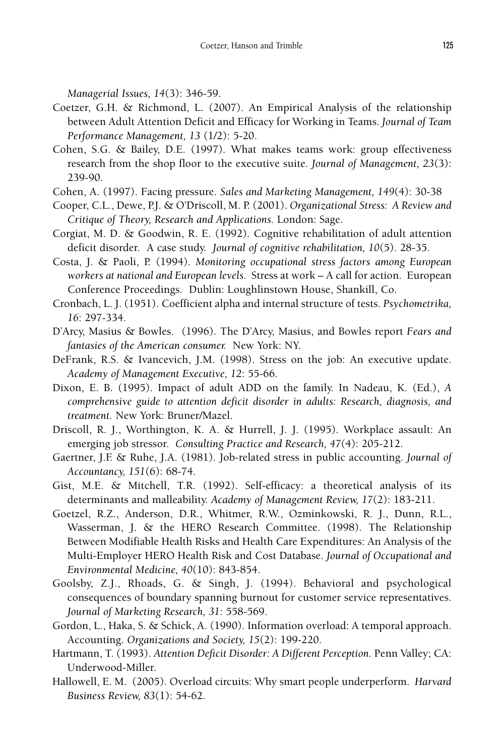*Managerial Issues, 14*(3): 346-59.

- Coetzer, G.H. & Richmond, L. (2007). An Empirical Analysis of the relationship between Adult Attention Deficit and Efficacy for Working in Teams. *Journal of Team Performance Management, 13* (1/2): 5-20.
- Cohen, S.G. & Bailey, D.E. (1997). What makes teams work: group effectiveness research from the shop floor to the executive suite. *Journal of Management, 23*(3): 239-90.
- Cohen, A. (1997). Facing pressure. *Sales and Marketing Management, 149*(4): 30-38
- Cooper, C.L., Dewe, P.J. & O'Driscoll, M. P. (2001). *Organizational Stress: A Review and Critique of Theory, Research and Applications.* London: Sage.
- Corgiat, M. D. & Goodwin, R. E. (1992). Cognitive rehabilitation of adult attention deficit disorder. A case study. *Journal of cognitive rehabilitation, 10*(5). 28-35.
- Costa, J. & Paoli, P. (1994). *Monitoring occupational stress factors among European workers at national and European levels.* Stress at work – A call for action. European Conference Proceedings. Dublin: Loughlinstown House, Shankill, Co.
- Cronbach, L. J. (1951). Coefficient alpha and internal structure of tests. *Psychometrika, 16*: 297-334.
- D'Arcy, Masius & Bowles. (1996). The D'Arcy, Masius, and Bowles report *Fears and fantasies of the American consumer.* New York: NY.
- DeFrank, R.S. & Ivancevich, J.M. (1998). Stress on the job: An executive update. *Academy of Management Executive, 12*: 55-66.
- Dixon, E. B. (1995). Impact of adult ADD on the family. In Nadeau, K. (Ed.), *A comprehensive guide to attention deficit disorder in adults: Research, diagnosis, and treatment.* New York: Bruner/Mazel.
- Driscoll, R. J., Worthington, K. A. & Hurrell, J. J. (1995). Workplace assault: An emerging job stressor. *Consulting Practice and Research, 47*(4): 205-212.
- Gaertner, J.F. & Ruhe, J.A. (1981). Job-related stress in public accounting. *Journal of Accountancy, 151*(6): 68-74.
- Gist, M.E. & Mitchell, T.R. (1992). Self-efficacy: a theoretical analysis of its determinants and malleability. *Academy of Management Review, 17*(2): 183-211.
- Goetzel, R.Z., Anderson, D.R., Whitmer, R.W., Ozminkowski, R. J., Dunn, R.L., Wasserman, J. & the HERO Research Committee. (1998). The Relationship Between Modifiable Health Risks and Health Care Expenditures: An Analysis of the Multi-Employer HERO Health Risk and Cost Database. *Journal of Occupational and Environmental Medicine, 40*(10): 843-854.
- Goolsby, Z.J., Rhoads, G. & Singh, J. (1994). Behavioral and psychological consequences of boundary spanning burnout for customer service representatives. *Journal of Marketing Research, 31*: 558-569.
- Gordon, L., Haka, S. & Schick, A. (1990). Information overload: A temporal approach. Accounting. *Organizations and Society, 15*(2): 199-220.
- Hartmann, T. (1993). *Attention Deficit Disorder: A Different Perception.* Penn Valley; CA: Underwood-Miller.
- Hallowell, E. M. (2005). Overload circuits: Why smart people underperform. *Harvard Business Review, 83*(1): 54-62.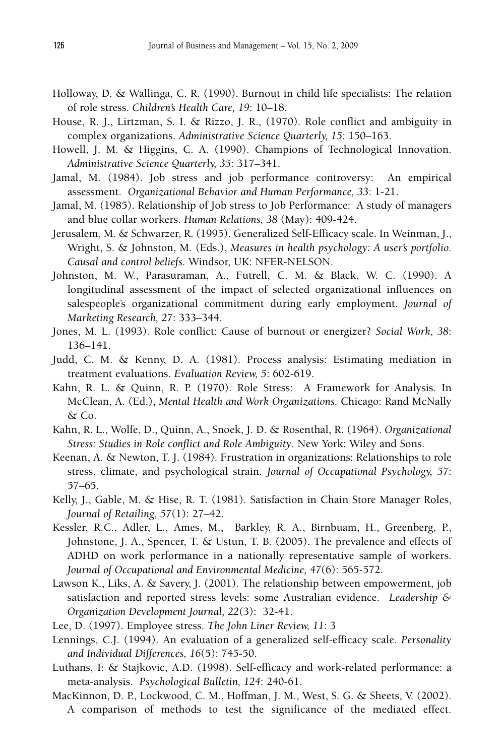- Holloway, D. & Wallinga, C. R. (1990). Burnout in child life specialists: The relation of role stress. *Children's Health Care, 19*: 10–18.
- House, R. J., Lirtzman, S. I. & Rizzo, J. R., (1970). Role conflict and ambiguity in complex organizations. *Administrative Science Quarterly, 15:* 150–163.
- Howell, J. M. & Higgins, C. A. (1990). Champions of Technological Innovation. *Administrative Science Quarterly, 35*: 317–341.
- Jamal, M. (1984). Job stress and job performance controversy: An empirical assessment. *Organizational Behavior and Human Performance, 33*: 1-21.
- Jamal, M. (1985). Relationship of Job stress to Job Performance: A study of managers and blue collar workers. *Human Relations, 38* (May): 409-424.
- Jerusalem, M. & Schwarzer, R. (1995). Generalized Self-Efficacy scale. In Weinman, J., Wright, S. & Johnston, M. (Eds.), *Measures in health psychology: A user's portfolio. Causal and control beliefs.* Windsor, UK: NFER-NELSON.
- Johnston, M. W., Parasuraman, A., Futrell, C. M. & Black, W. C. (1990). A longitudinal assessment of the impact of selected organizational influences on salespeople's organizational commitment during early employment. *Journal of Marketing Research, 27*: 333–344.
- Jones, M. L. (1993). Role conflict: Cause of burnout or energizer? *Social Work, 38*: 136–141.
- Judd, C. M. & Kenny, D. A. (1981). Process analysis: Estimating mediation in treatment evaluations. *Evaluation Review, 5*: 602-619.
- Kahn, R. L. & Quinn, R. P. (1970). Role Stress: A Framework for Analysis. In McClean, A. (Ed.), *Mental Health and Work Organizations.* Chicago: Rand McNally & Co.
- Kahn, R. L., Wolfe, D., Quinn, A., Snoek, J. D. & Rosenthal, R. (1964). *Organizational Stress: Studies in Role conflict and Role Ambiguity*. New York: Wiley and Sons.
- Keenan, A. & Newton, T. J. (1984). Frustration in organizations: Relationships to role stress, climate, and psychological strain. *Journal of Occupational Psychology, 57*: 57–65.
- Kelly, J., Gable, M. & Hise, R. T. (1981). Satisfaction in Chain Store Manager Roles, *Journal of Retailing, 57*(1): 27–42.
- Kessler, R.C., Adler, L., Ames, M., Barkley, R. A., Birnbuam, H., Greenberg, P., Johnstone, J. A., Spencer, T. & Ustun, T. B. (2005). The prevalence and effects of ADHD on work performance in a nationally representative sample of workers. *Journal of Occupational and Environmental Medicine, 47*(6): 565-572.
- Lawson K., Liks, A. & Savery, J. (2001). The relationship between empowerment, job satisfaction and reported stress levels: some Australian evidence. *Leadership & Organization Development Journal, 22*(3): 32-41.
- Lee, D. (1997). Employee stress. *The John Liner Review, 11*: 3
- Lennings, C.J. (1994). An evaluation of a generalized self-efficacy scale. *Personality and Individual Differences, 16*(5): 745-50.
- Luthans, F. & Stajkovic, A.D. (1998). Self-efficacy and work-related performance: a meta-analysis. *Psychological Bulletin, 124*: 240-61.
- MacKinnon, D. P., Lockwood, C. M., Hoffman, J. M., West, S. G. & Sheets, V. (2002). A comparison of methods to test the significance of the mediated effect.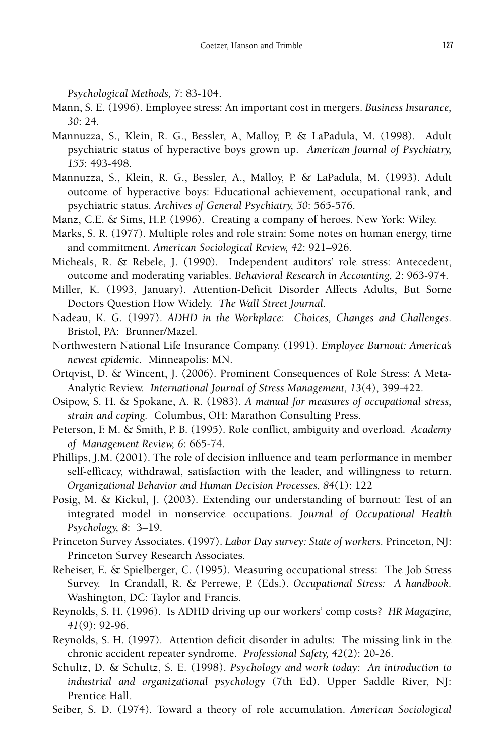*Psychological Methods, 7*: 83-104.

- Mann, S. E. (1996). Employee stress: An important cost in mergers. *Business Insurance, 30*: 24.
- Mannuzza, S., Klein, R. G., Bessler, A, Malloy, P. & LaPadula, M. (1998). Adult psychiatric status of hyperactive boys grown up. *American Journal of Psychiatry, 155*: 493-498.
- Mannuzza, S., Klein, R. G., Bessler, A., Malloy, P. & LaPadula, M. (1993). Adult outcome of hyperactive boys: Educational achievement, occupational rank, and psychiatric status. *Archives of General Psychiatry, 50*: 565-576.
- Manz, C.E. & Sims, H.P. (1996). Creating a company of heroes. New York: Wiley.
- Marks, S. R. (1977). Multiple roles and role strain: Some notes on human energy, time and commitment. *American Sociological Review, 42*: 921–926.
- Micheals, R. & Rebele, J. (1990). Independent auditors' role stress: Antecedent, outcome and moderating variables. *Behavioral Research in Accounting, 2*: 963-974.
- Miller, K. (1993, January). Attention-Deficit Disorder Affects Adults, But Some Doctors Question How Widely. *The Wall Street Journal*.
- Nadeau, K. G. (1997). *ADHD in the Workplace: Choices, Changes and Challenges.* Bristol, PA: Brunner/Mazel.
- Northwestern National Life Insurance Company. (1991). *Employee Burnout: America's newest epidemic.* Minneapolis: MN.
- Ortqvist, D. & Wincent, J. (2006). Prominent Consequences of Role Stress: A Meta-Analytic Review. *International Journal of Stress Management, 13*(4), 399-422.
- Osipow, S. H. & Spokane, A. R. (1983). *A manual for measures of occupational stress, strain and coping.* Columbus, OH: Marathon Consulting Press.
- Peterson, F. M. & Smith, P. B. (1995). Role conflict, ambiguity and overload. *Academy of Management Review, 6*: 665-74.
- Phillips, J.M. (2001). The role of decision influence and team performance in member self-efficacy, withdrawal, satisfaction with the leader, and willingness to return. *Organizational Behavior and Human Decision Processes, 84*(1): 122
- Posig, M. & Kickul, J. (2003). Extending our understanding of burnout: Test of an integrated model in nonservice occupations. *Journal of Occupational Health Psychology, 8*: 3–19.
- Princeton Survey Associates. (1997). *Labor Day survey: State of workers.* Princeton, NJ: Princeton Survey Research Associates.
- Reheiser, E. & Spielberger, C. (1995). Measuring occupational stress: The Job Stress Survey. In Crandall, R. & Perrewe, P. (Eds.). *Occupational Stress: A handbook.* Washington, DC: Taylor and Francis.
- Reynolds, S. H. (1996). Is ADHD driving up our workers' comp costs? *HR Magazine, 41*(9): 92-96.
- Reynolds, S. H. (1997). Attention deficit disorder in adults: The missing link in the chronic accident repeater syndrome. *Professional Safety, 42*(2): 20-26.
- Schultz, D. & Schultz, S. E. (1998). *Psychology and work today: An introduction to industrial and organizational psychology* (7th Ed). Upper Saddle River, NJ: Prentice Hall.
- Seiber, S. D. (1974). Toward a theory of role accumulation. *American Sociological*